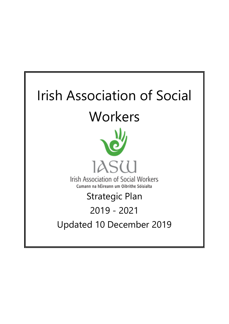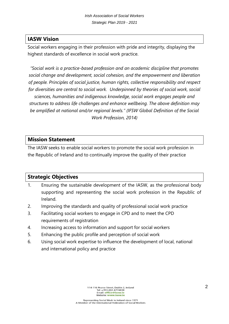### **IASW Vision**

Social workers engaging in their profession with pride and integrity, displaying the highest standards of excellence in social work practice.

*"Social work is a practice-based profession and an academic discipline that promotes social change and development, social cohesion, and the empowerment and liberation of people. Principles of social justice, human rights, collective responsibility and respect for diversities are central to social work. Underpinned by theories of social work, social sciences, humanities and indigenous knowledge, social work engages people and structures to address life challenges and enhance wellbeing. The above definition may be amplified at national and/or regional levels." (IFSW Global Definition of the Social Work Profession, 2014)*

#### **Mission Statement**

The IASW seeks to enable social workers to promote the social work profession in the Republic of Ireland and to continually improve the quality of their practice

### **Strategic Objectives**

- 1. Ensuring the sustainable development of the IASW, as the professional body supporting and representing the social work profession in the Republic of Ireland.
- 2. Improving the standards and quality of professional social work practice
- 3. Facilitating social workers to engage in CPD and to meet the CPD requirements of registration
- 4. Increasing access to information and support for social workers
- 5. Enhancing the public profile and perception of social work
- 6. Using social work expertise to influence the development of local, national and international policy and practice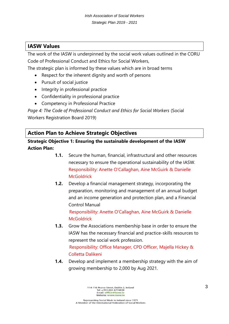### **IASW Values**

The work of the IASW is underpinned by the social work values outlined in the CORU Code of Professional Conduct and Ethics for Social Workers,

The strategic plan is informed by these values which are in broad terms

- Respect for the inherent dignity and worth of persons
- Pursuit of social justice
- Integrity in professional practice
- Confidentiality in professional practice
- Competency in Professional Practice

*Page 4: The Code of Professional Conduct and Ethics for Social Workers (Social* Workers Registration Board 2019)

### **Action Plan to Achieve Strategic Objectives**

**Strategic Objective 1: Ensuring the sustainable development of the IASW Action Plan:** 

- **1.1.** Secure the human, financial, infrastructural and other resources necessary to ensure the operational sustainability of the IASW. Responsibility: Anette O'Callaghan, Aine McGuirk & Danielle **McGoldrick**
- **1.2.** Develop a financial management strategy, incorporating the preparation, monitoring and management of an annual budget and an income generation and protection plan, and a Financial Control Manual

Responsibility: Anette O'Callaghan, Aine McGuirk & Danielle **McGoldrick** 

- **1.3.** Grow the Associations membership base in order to ensure the IASW has the necessary financial and practice-skills resources to represent the social work profession. Responsibility: Office Manager, CPD Officer, Majella Hickey & Colletta Dalikeni
- **1.4.** Develop and implement a membership strategy with the aim of growing membership to 2,000 by Aug 2021.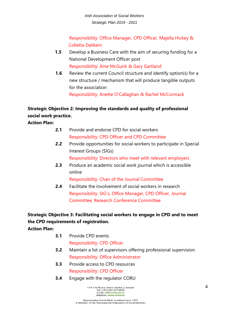Responsibility: Office Manager, CPD Officer, Majella Hickey & Colletta Dalikeni

- **1.5** Develop a Business Care with the aim of securing funding for a National Development Officer post Responsibility: Aine McGuirk & Gary Gartland
- **1.6** Review the current Council structure and identify option(s) for a new structure / mechanism that will produce tangible outputs for the association Responsibility: Anette O'Callaghan & Rachel McCormack

### **Strategic Objective 2: Improving the standards and quality of professional social work practice.**

**Action Plan:** 

- **2.1** Provide and endorse CPD for social workers Responsibility: CPD Officer and CPD Committee
- **2.2** Provide opportunities for social workers to participate in Special Interest Groups (SIGs) Responsibility: Directors who meet with relevant employers
- **2.3** Produce an academic social work journal which is accessible online

Responsibility: Chair of the Journal Committee

**2.4** Facilitate the involvement of social workers in research Responsibility: SIG's, Office Manager, CPD Officer, Journal Committee, Research Conference Committee

# **Strategic Objective 3: Facilitating social workers to engage in CPD and to meet the CPD requirements of registration.**

**Action Plan:**

- **3.1** Provide CPD events Responsibility: CPD Officer
- **3.2** Maintain a list of supervisors offering professional supervision Responsibility: Office Administrator
- **3.3** Provide access to CPD resources Responsibility: CPD Officer
- **3.4** Engage with the regulator CORU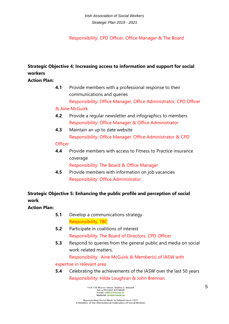*Irish Association of Social Workers Strategic Plan 2019 - 2021*

Responsibility: CPD Officer, Office Manager & The Board

## **Strategic Objective 4: Increasing access to information and support for social workers**

**Action Plan:** 

**4.1** Provide members with a professional response to their communications and queries Responsibility: Office Manager, Office Administrator, CPD Officer & Aine McGuirk

### **4.2** Provide a regular newsletter and infographics to members Responsibility: Office Manager & Office Administrator

**4.3** Maintain an up to date website Responsibility: Office Manager, Office Administrator & CPD

### **Officer**

**4.4** Provide members with access to Fitness to Practice insurance coverage

Responsibility: The Board & Office Manager

**4.5** Provide members with information on job vacancies Responsibility: Office Administrator

# **Strategic Objective 5: Enhancing the public profile and perception of social work**

**Action Plan:** 

- **5.1** Develop a communications strategy Responsibility: TBC
- **5.2** Participate in coalitions of interest Responsibility: The Board of Directors, CPD Officer
- **5.3** Respond to queries from the general public and media on social work-related matters.

Responsibility: Aine McGuirk & Member(s) of IASW with

#### expertise in relevant area

**5.4** Celebrating the achievements of the IASW over the last 50 years Responsibility; Hilda Loughran & John Brennan